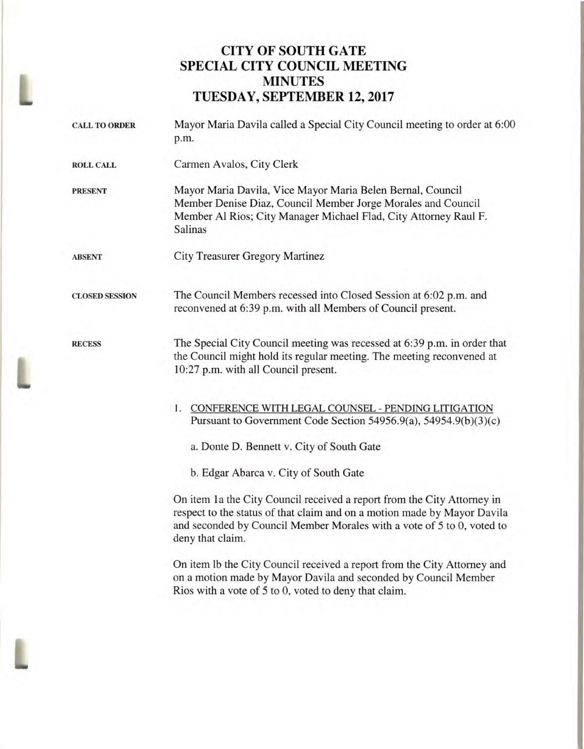## **CITY OF SOUTH GATE SPECIAL CITY COUNCIL MEETING MINUTES TUESDAY, SEPTEMBER 12, 2017**

L

| <b>CALL TO ORDER</b>  | Mayor Maria Davila called a Special City Council meeting to order at 6:00<br>p.m.                                                                                                                                                                 |
|-----------------------|---------------------------------------------------------------------------------------------------------------------------------------------------------------------------------------------------------------------------------------------------|
| <b>ROLL CALL</b>      | Carmen Avalos, City Clerk                                                                                                                                                                                                                         |
| <b>PRESENT</b>        | Mayor Maria Davila, Vice Mayor Maria Belen Bernal, Council<br>Member Denise Diaz, Council Member Jorge Morales and Council<br>Member Al Rios; City Manager Michael Flad, City Attorney Raul F.<br>Salinas                                         |
| <b>ABSENT</b>         | <b>City Treasurer Gregory Martinez</b>                                                                                                                                                                                                            |
| <b>CLOSED SESSION</b> | The Council Members recessed into Closed Session at 6:02 p.m. and<br>reconvened at 6:39 p.m. with all Members of Council present.                                                                                                                 |
| <b>RECESS</b>         | The Special City Council meeting was recessed at 6:39 p.m. in order that<br>the Council might hold its regular meeting. The meeting reconvened at<br>10:27 p.m. with all Council present.                                                         |
|                       | 1. CONFERENCE WITH LEGAL COUNSEL - PENDING LITIGATION<br>Pursuant to Government Code Section 54956.9(a), 54954.9(b)(3)(c)<br>a. Donte D. Bennett v. City of South Gate                                                                            |
|                       | b. Edgar Abarca v. City of South Gate                                                                                                                                                                                                             |
|                       | On item 1a the City Council received a report from the City Attorney in<br>respect to the status of that claim and on a motion made by Mayor Davila<br>and seconded by Council Member Morales with a vote of 5 to 0, voted to<br>deny that claim. |
|                       | On item Ib the City Council received a report from the City Attorney and<br>on a motion made by Mayor Davila and seconded by Council Member<br>Rios with a vote of 5 to 0, voted to deny that claim.                                              |